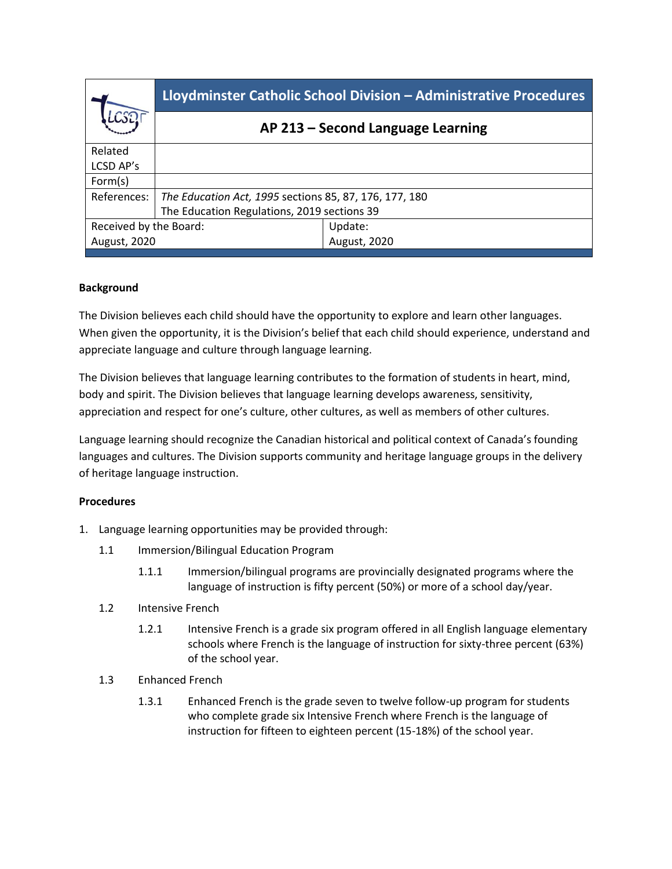|                        | Lloydminster Catholic School Division - Administrative Procedures |              |
|------------------------|-------------------------------------------------------------------|--------------|
|                        | AP 213 - Second Language Learning                                 |              |
| Related                |                                                                   |              |
| LCSD AP's              |                                                                   |              |
| Form(s)                |                                                                   |              |
| References:            | The Education Act, 1995 sections 85, 87, 176, 177, 180            |              |
|                        | The Education Regulations, 2019 sections 39                       |              |
| Received by the Board: |                                                                   | Update:      |
| August, 2020           |                                                                   | August, 2020 |
|                        |                                                                   |              |

## **Background**

The Division believes each child should have the opportunity to explore and learn other languages. When given the opportunity, it is the Division's belief that each child should experience, understand and appreciate language and culture through language learning.

The Division believes that language learning contributes to the formation of students in heart, mind, body and spirit. The Division believes that language learning develops awareness, sensitivity, appreciation and respect for one's culture, other cultures, as well as members of other cultures.

Language learning should recognize the Canadian historical and political context of Canada's founding languages and cultures. The Division supports community and heritage language groups in the delivery of heritage language instruction.

## **Procedures**

- 1. Language learning opportunities may be provided through:
	- 1.1 Immersion/Bilingual Education Program
		- 1.1.1 Immersion/bilingual programs are provincially designated programs where the language of instruction is fifty percent (50%) or more of a school day/year.
	- 1.2 Intensive French
		- 1.2.1 Intensive French is a grade six program offered in all English language elementary schools where French is the language of instruction for sixty-three percent (63%) of the school year.
	- 1.3 Enhanced French
		- 1.3.1 Enhanced French is the grade seven to twelve follow-up program for students who complete grade six Intensive French where French is the language of instruction for fifteen to eighteen percent (15-18%) of the school year.